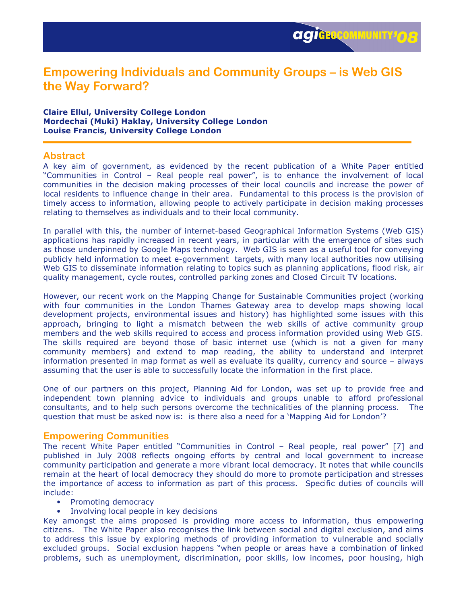# Empowering Individuals and Community Groups – is Web GIS the Way Forward?

#### Claire Ellul, University College London Mordechai (Muki) Haklay, University College London Louise Francis, University College London

## **Abstract**

A key aim of government, as evidenced by the recent publication of a White Paper entitled "Communities in Control – Real people real power", is to enhance the involvement of local communities in the decision making processes of their local councils and increase the power of local residents to influence change in their area. Fundamental to this process is the provision of timely access to information, allowing people to actively participate in decision making processes relating to themselves as individuals and to their local community.

In parallel with this, the number of internet-based Geographical Information Systems (Web GIS) applications has rapidly increased in recent years, in particular with the emergence of sites such as those underpinned by Google Maps technology. Web GIS is seen as a useful tool for conveying publicly held information to meet e-government targets, with many local authorities now utilising Web GIS to disseminate information relating to topics such as planning applications, flood risk, air quality management, cycle routes, controlled parking zones and Closed Circuit TV locations.

However, our recent work on the Mapping Change for Sustainable Communities project (working with four communities in the London Thames Gateway area to develop maps showing local development projects, environmental issues and history) has highlighted some issues with this approach, bringing to light a mismatch between the web skills of active community group members and the web skills required to access and process information provided using Web GIS. The skills required are beyond those of basic internet use (which is not a given for many community members) and extend to map reading, the ability to understand and interpret information presented in map format as well as evaluate its quality, currency and source – always assuming that the user is able to successfully locate the information in the first place.

One of our partners on this project, Planning Aid for London, was set up to provide free and independent town planning advice to individuals and groups unable to afford professional consultants, and to help such persons overcome the technicalities of the planning process. The question that must be asked now is: is there also a need for a 'Mapping Aid for London'?

### Empowering Communities

The recent White Paper entitled "Communities in Control – Real people, real power" [7] and published in July 2008 reflects ongoing efforts by central and local government to increase community participation and generate a more vibrant local democracy. It notes that while councils remain at the heart of local democracy they should do more to promote participation and stresses the importance of access to information as part of this process. Specific duties of councils will include:

- Promoting democracy
- Involving local people in key decisions

Key amongst the aims proposed is providing more access to information, thus empowering citizens. The White Paper also recognises the link between social and digital exclusion, and aims to address this issue by exploring methods of providing information to vulnerable and socially excluded groups. Social exclusion happens "when people or areas have a combination of linked problems, such as unemployment, discrimination, poor skills, low incomes, poor housing, high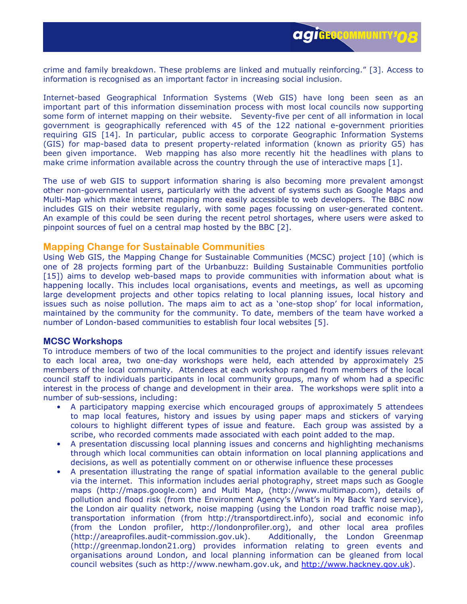crime and family breakdown. These problems are linked and mutually reinforcing." [3]. Access to information is recognised as an important factor in increasing social inclusion.

Internet-based Geographical Information Systems (Web GIS) have long been seen as an important part of this information dissemination process with most local councils now supporting some form of internet mapping on their website. Seventy-five per cent of all information in local government is geographically referenced with 45 of the 122 national e-government priorities requiring GIS [14]. In particular, public access to corporate Geographic Information Systems (GIS) for map-based data to present property-related information (known as priority G5) has been given importance. Web mapping has also more recently hit the headlines with plans to make crime information available across the country through the use of interactive maps [1].

The use of web GIS to support information sharing is also becoming more prevalent amongst other non-governmental users, particularly with the advent of systems such as Google Maps and Multi-Map which make internet mapping more easily accessible to web developers. The BBC now includes GIS on their website regularly, with some pages focussing on user-generated content. An example of this could be seen during the recent petrol shortages, where users were asked to pinpoint sources of fuel on a central map hosted by the BBC [2].

### Mapping Change for Sustainable Communities

Using Web GIS, the Mapping Change for Sustainable Communities (MCSC) project [10] (which is one of 28 projects forming part of the Urbanbuzz: Building Sustainable Communities portfolio [15]) aims to develop web-based maps to provide communities with information about what is happening locally. This includes local organisations, events and meetings, as well as upcoming large development projects and other topics relating to local planning issues, local history and issues such as noise pollution. The maps aim to act as a 'one-stop shop' for local information, maintained by the community for the community. To date, members of the team have worked a number of London-based communities to establish four local websites [5].

#### MCSC Workshops

To introduce members of two of the local communities to the project and identify issues relevant to each local area, two one-day workshops were held, each attended by approximately 25 members of the local community. Attendees at each workshop ranged from members of the local council staff to individuals participants in local community groups, many of whom had a specific interest in the process of change and development in their area. The workshops were split into a number of sub-sessions, including:

- A participatory mapping exercise which encouraged groups of approximately 5 attendees to map local features, history and issues by using paper maps and stickers of varying colours to highlight different types of issue and feature. Each group was assisted by a scribe, who recorded comments made associated with each point added to the map.
- A presentation discussing local planning issues and concerns and highlighting mechanisms through which local communities can obtain information on local planning applications and decisions, as well as potentially comment on or otherwise influence these processes
- A presentation illustrating the range of spatial information available to the general public via the internet. This information includes aerial photography, street maps such as Google maps (http://maps.google.com) and Multi Map, (http://www.multimap.com), details of pollution and flood risk (from the Environment Agency's What's in My Back Yard service), the London air quality network, noise mapping (using the London road traffic noise map), transportation information (from http://transportdirect.info), social and economic info (from the London profiler, http://londonprofiler.org), and other local area profiles (http://areaprofiles.audit-commission.gov.uk). Additionally, the London Greenmap (http://greenmap.london21.org) provides information relating to green events and organisations around London, and local planning information can be gleaned from local council websites (such as http://www.newham.gov.uk, and http://www.hackney.gov.uk).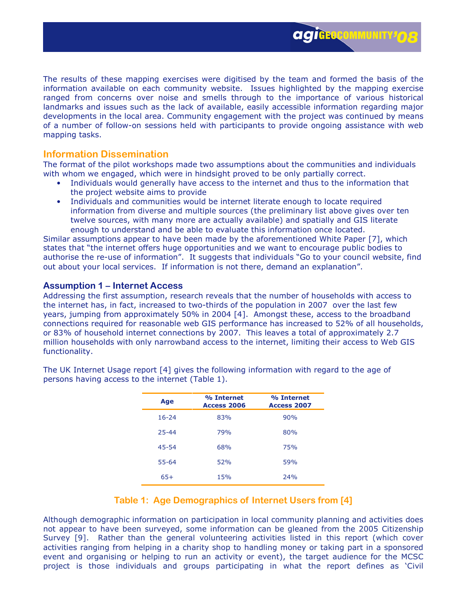The results of these mapping exercises were digitised by the team and formed the basis of the information available on each community website. Issues highlighted by the mapping exercise ranged from concerns over noise and smells through to the importance of various historical landmarks and issues such as the lack of available, easily accessible information regarding major developments in the local area. Community engagement with the project was continued by means of a number of follow-on sessions held with participants to provide ongoing assistance with web mapping tasks.

### Information Dissemination

The format of the pilot workshops made two assumptions about the communities and individuals with whom we engaged, which were in hindsight proved to be only partially correct.

- Individuals would generally have access to the internet and thus to the information that the project website aims to provide
- Individuals and communities would be internet literate enough to locate required information from diverse and multiple sources (the preliminary list above gives over ten twelve sources, with many more are actually available) and spatially and GIS literate enough to understand and be able to evaluate this information once located.

Similar assumptions appear to have been made by the aforementioned White Paper [7], which states that "the internet offers huge opportunities and we want to encourage public bodies to authorise the re-use of information". It suggests that individuals "Go to your council website, find out about your local services. If information is not there, demand an explanation".

### Assumption 1 – Internet Access

Addressing the first assumption, research reveals that the number of households with access to the internet has, in fact, increased to two-thirds of the population in 2007 over the last few years, jumping from approximately 50% in 2004 [4]. Amongst these, access to the broadband connections required for reasonable web GIS performance has increased to 52% of all households, or 83% of household internet connections by 2007. This leaves a total of approximately 2.7 million households with only narrowband access to the internet, limiting their access to Web GIS functionality.

| Age       | % Internet<br>Access 2006 | % Internet<br>Access 2007 |
|-----------|---------------------------|---------------------------|
| $16 - 24$ | 83%                       | 90%                       |
| $25 - 44$ | 79%                       | 80%                       |
| $45 - 54$ | 68%                       | 75%                       |
| $55 - 64$ | 52%                       | 59%                       |
| $65+$     | 15%                       | 24%                       |

The UK Internet Usage report [4] gives the following information with regard to the age of persons having access to the internet (Table 1).

# Table 1: Age Demographics of Internet Users from [4]

Although demographic information on participation in local community planning and activities does not appear to have been surveyed, some information can be gleaned from the 2005 Citizenship Survey [9]. Rather than the general volunteering activities listed in this report (which cover activities ranging from helping in a charity shop to handling money or taking part in a sponsored event and organising or helping to run an activity or event), the target audience for the MCSC project is those individuals and groups participating in what the report defines as 'Civil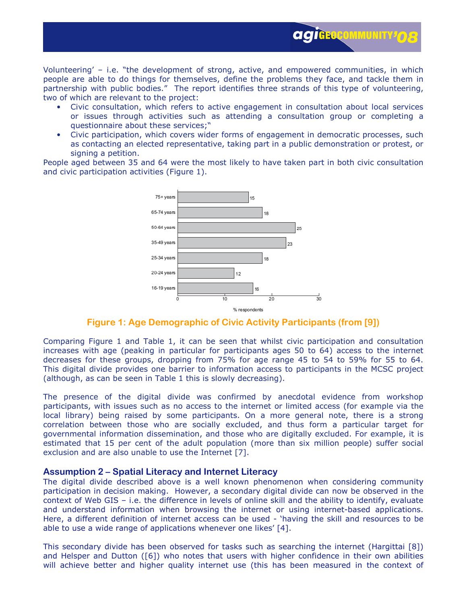Volunteering' – i.e. "the development of strong, active, and empowered communities, in which people are able to do things for themselves, define the problems they face, and tackle them in partnership with public bodies." The report identifies three strands of this type of volunteering, two of which are relevant to the project:

• Civic consultation, which refers to active engagement in consultation about local services or issues through activities such as attending a consultation group or completing a questionnaire about these services;"

**agiGEOCOMMUNITY!O** 

• Civic participation, which covers wider forms of engagement in democratic processes, such as contacting an elected representative, taking part in a public demonstration or protest, or signing a petition.

People aged between 35 and 64 were the most likely to have taken part in both civic consultation and civic participation activities (Figure 1).



#### Figure 1: Age Demographic of Civic Activity Participants (from [9])

Comparing Figure 1 and Table 1, it can be seen that whilst civic participation and consultation increases with age (peaking in particular for participants ages 50 to 64) access to the internet decreases for these groups, dropping from 75% for age range 45 to 54 to 59% for 55 to 64. This digital divide provides one barrier to information access to participants in the MCSC project (although, as can be seen in Table 1 this is slowly decreasing).

The presence of the digital divide was confirmed by anecdotal evidence from workshop participants, with issues such as no access to the internet or limited access (for example via the local library) being raised by some participants. On a more general note, there is a strong correlation between those who are socially excluded, and thus form a particular target for governmental information dissemination, and those who are digitally excluded. For example, it is estimated that 15 per cent of the adult population (more than six million people) suffer social exclusion and are also unable to use the Internet [7].

#### Assumption 2 – Spatial Literacy and Internet Literacy

The digital divide described above is a well known phenomenon when considering community participation in decision making. However, a secondary digital divide can now be observed in the context of Web GIS – i.e. the difference in levels of online skill and the ability to identify, evaluate and understand information when browsing the internet or using internet-based applications. Here, a different definition of internet access can be used - 'having the skill and resources to be able to use a wide range of applications whenever one likes' [4].

This secondary divide has been observed for tasks such as searching the internet (Hargittai [8]) and Helsper and Dutton ([6]) who notes that users with higher confidence in their own abilities will achieve better and higher quality internet use (this has been measured in the context of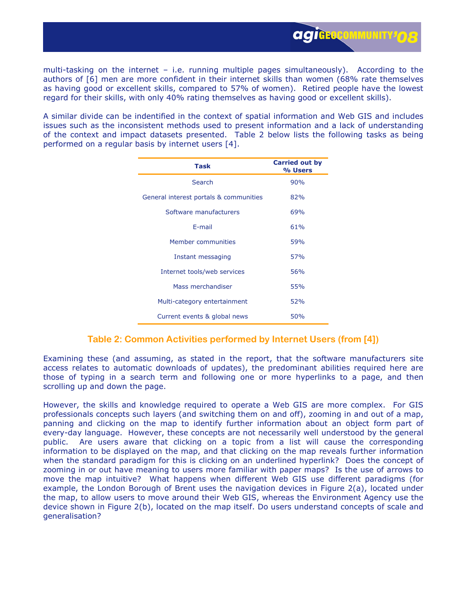multi-tasking on the internet – i.e. running multiple pages simultaneously). According to the authors of [6] men are more confident in their internet skills than women (68% rate themselves as having good or excellent skills, compared to 57% of women). Retired people have the lowest regard for their skills, with only 40% rating themselves as having good or excellent skills).

A similar divide can be indentified in the context of spatial information and Web GIS and includes issues such as the inconsistent methods used to present information and a lack of understanding of the context and impact datasets presented. Table 2 below lists the following tasks as being performed on a regular basis by internet users [4].

| <b>Task</b>                            | <b>Carried out by</b><br>% Users |
|----------------------------------------|----------------------------------|
| Search                                 | 90%                              |
| General interest portals & communities | 82%                              |
| Software manufacturers                 | 69%                              |
| F-mail                                 | 61%                              |
| Member communities                     | 59%                              |
| Instant messaging                      | 57%                              |
| Internet tools/web services            | 56%                              |
| Mass merchandiser                      | 55%                              |
| Multi-category entertainment           | 52%                              |
| Current events & global news           | 50%                              |

### Table 2: Common Activities performed by Internet Users (from [4])

Examining these (and assuming, as stated in the report, that the software manufacturers site access relates to automatic downloads of updates), the predominant abilities required here are those of typing in a search term and following one or more hyperlinks to a page, and then scrolling up and down the page.

However, the skills and knowledge required to operate a Web GIS are more complex. For GIS professionals concepts such layers (and switching them on and off), zooming in and out of a map, panning and clicking on the map to identify further information about an object form part of every-day language. However, these concepts are not necessarily well understood by the general public. Are users aware that clicking on a topic from a list will cause the corresponding information to be displayed on the map, and that clicking on the map reveals further information when the standard paradigm for this is clicking on an underlined hyperlink? Does the concept of zooming in or out have meaning to users more familiar with paper maps? Is the use of arrows to move the map intuitive? What happens when different Web GIS use different paradigms (for example, the London Borough of Brent uses the navigation devices in Figure 2(a), located under the map, to allow users to move around their Web GIS, whereas the Environment Agency use the device shown in Figure 2(b), located on the map itself. Do users understand concepts of scale and generalisation?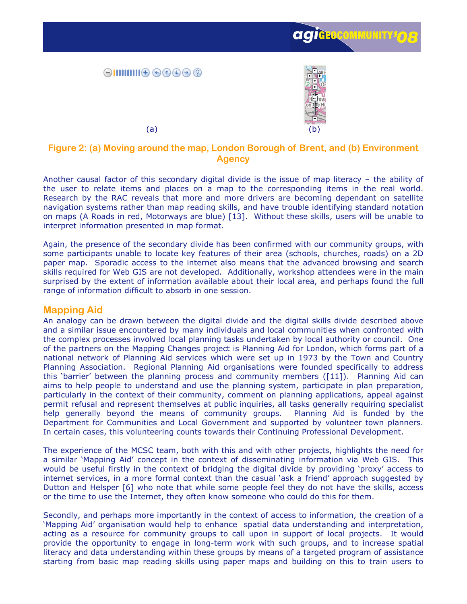





# Figure 2: (a) Moving around the map, London Borough of Brent, and (b) Environment **Agency**

Another causal factor of this secondary digital divide is the issue of map literacy – the ability of the user to relate items and places on a map to the corresponding items in the real world. Research by the RAC reveals that more and more drivers are becoming dependant on satellite navigation systems rather than map reading skills, and have trouble identifying standard notation on maps (A Roads in red, Motorways are blue) [13]. Without these skills, users will be unable to interpret information presented in map format.

Again, the presence of the secondary divide has been confirmed with our community groups, with some participants unable to locate key features of their area (schools, churches, roads) on a 2D paper map. Sporadic access to the internet also means that the advanced browsing and search skills required for Web GIS are not developed. Additionally, workshop attendees were in the main surprised by the extent of information available about their local area, and perhaps found the full range of information difficult to absorb in one session.

### Mapping Aid

An analogy can be drawn between the digital divide and the digital skills divide described above and a similar issue encountered by many individuals and local communities when confronted with the complex processes involved local planning tasks undertaken by local authority or council. One of the partners on the Mapping Changes project is Planning Aid for London, which forms part of a national network of Planning Aid services which were set up in 1973 by the Town and Country Planning Association. Regional Planning Aid organisations were founded specifically to address this 'barrier' between the planning process and community members ([11]). Planning Aid can aims to help people to understand and use the planning system, participate in plan preparation, particularly in the context of their community, comment on planning applications, appeal against permit refusal and represent themselves at public inquiries, all tasks generally requiring specialist help generally beyond the means of community groups. Planning Aid is funded by the Department for Communities and Local Government and supported by volunteer town planners. In certain cases, this volunteering counts towards their Continuing Professional Development.

The experience of the MCSC team, both with this and with other projects, highlights the need for a similar 'Mapping Aid' concept in the context of disseminating information via Web GIS. This would be useful firstly in the context of bridging the digital divide by providing 'proxy' access to internet services, in a more formal context than the casual 'ask a friend' approach suggested by Dutton and Helsper [6] who note that while some people feel they do not have the skills, access or the time to use the Internet, they often know someone who could do this for them.

Secondly, and perhaps more importantly in the context of access to information, the creation of a 'Mapping Aid' organisation would help to enhance spatial data understanding and interpretation, acting as a resource for community groups to call upon in support of local projects. It would provide the opportunity to engage in long-term work with such groups, and to increase spatial literacy and data understanding within these groups by means of a targeted program of assistance starting from basic map reading skills using paper maps and building on this to train users to